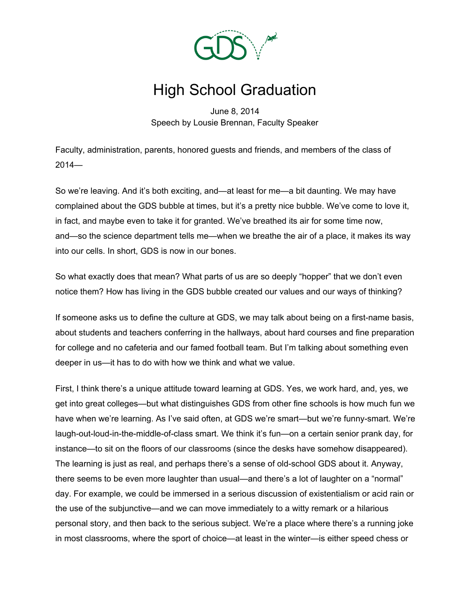

## High School Graduation

June 8, 2014 Speech by Lousie Brennan, Faculty Speaker

Faculty, administration, parents, honored guests and friends, and members of the class of 2014—

So we're leaving. And it's both exciting, and—at least for me—a bit daunting. We may have complained about the GDS bubble at times, but it's a pretty nice bubble. We've come to love it, in fact, and maybe even to take it for granted. We've breathed its air for some time now, and—so the science department tells me—when we breathe the air of a place, it makes its way into our cells. In short, GDS is now in our bones.

So what exactly does that mean? What parts of us are so deeply "hopper" that we don't even notice them? How has living in the GDS bubble created our values and our ways of thinking?

If someone asks us to define the culture at GDS, we may talk about being on a first-name basis, about students and teachers conferring in the hallways, about hard courses and fine preparation for college and no cafeteria and our famed football team. But I'm talking about something even deeper in us—it has to do with how we think and what we value.

First, I think there's a unique attitude toward learning at GDS. Yes, we work hard, and, yes, we get into great colleges—but what distinguishes GDS from other fine schools is how much fun we have when we're learning. As I've said often, at GDS we're smart—but we're funny-smart. We're laugh-out-loud-in-the-middle-of-class smart. We think it's fun—on a certain senior prank day, for instance—to sit on the floors of our classrooms (since the desks have somehow disappeared). The learning is just as real, and perhaps there's a sense of old-school GDS about it. Anyway, there seems to be even more laughter than usual—and there's a lot of laughter on a "normal" day. For example, we could be immersed in a serious discussion of existentialism or acid rain or the use of the subjunctive—and we can move immediately to a witty remark or a hilarious personal story, and then back to the serious subject. We're a place where there's a running joke in most classrooms, where the sport of choice—at least in the winter—is either speed chess or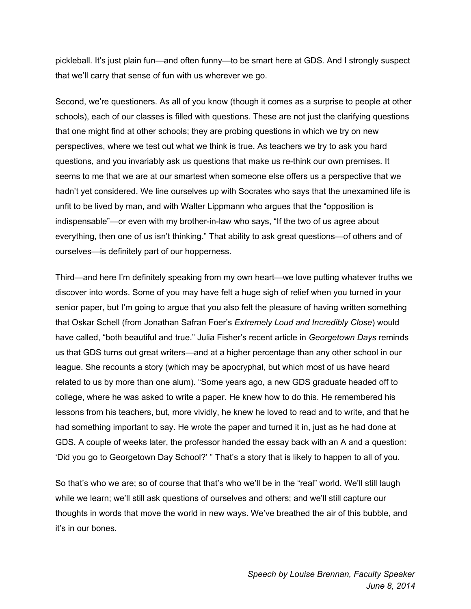pickleball. It's just plain fun—and often funny—to be smart here at GDS. And I strongly suspect that we'll carry that sense of fun with us wherever we go.

Second, we're questioners. As all of you know (though it comes as a surprise to people at other schools), each of our classes is filled with questions. These are not just the clarifying questions that one might find at other schools; they are probing questions in which we try on new perspectives, where we test out what we think is true. As teachers we try to ask you hard questions, and you invariably ask us questions that make us re-think our own premises. It seems to me that we are at our smartest when someone else offers us a perspective that we hadn't yet considered. We line ourselves up with Socrates who says that the unexamined life is unfit to be lived by man, and with Walter Lippmann who argues that the "opposition is indispensable"—or even with my brother-in-law who says, "If the two of us agree about everything, then one of us isn't thinking." That ability to ask great questions—of others and of ourselves—is definitely part of our hopperness.

Third—and here I'm definitely speaking from my own heart—we love putting whatever truths we discover into words. Some of you may have felt a huge sigh of relief when you turned in your senior paper, but I'm going to argue that you also felt the pleasure of having written something that Oskar Schell (from Jonathan Safran Foer's *Extremely Loud and Incredibly Close*) would have called, "both beautiful and true." Julia Fisher's recent article in *Georgetown Days* reminds us that GDS turns out great writers—and at a higher percentage than any other school in our league. She recounts a story (which may be apocryphal, but which most of us have heard related to us by more than one alum). "Some years ago, a new GDS graduate headed off to college, where he was asked to write a paper. He knew how to do this. He remembered his lessons from his teachers, but, more vividly, he knew he loved to read and to write, and that he had something important to say. He wrote the paper and turned it in, just as he had done at GDS. A couple of weeks later, the professor handed the essay back with an A and a question: 'Did you go to Georgetown Day School?' " That's a story that is likely to happen to all of you.

So that's who we are; so of course that that's who we'll be in the "real" world. We'll still laugh while we learn; we'll still ask questions of ourselves and others; and we'll still capture our thoughts in words that move the world in new ways. We've breathed the air of this bubble, and it's in our bones.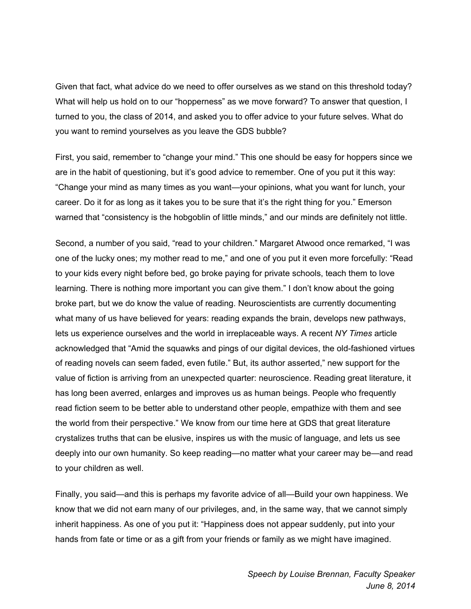Given that fact, what advice do we need to offer ourselves as we stand on this threshold today? What will help us hold on to our "hopperness" as we move forward? To answer that question, I turned to you, the class of 2014, and asked you to offer advice to your future selves. What do you want to remind yourselves as you leave the GDS bubble?

First, you said, remember to "change your mind." This one should be easy for hoppers since we are in the habit of questioning, but it's good advice to remember. One of you put it this way: "Change your mind as many times as you want—your opinions, what you want for lunch, your career. Do it for as long as it takes you to be sure that it's the right thing for you." Emerson warned that "consistency is the hobgoblin of little minds," and our minds are definitely not little.

Second, a number of you said, "read to your children." Margaret Atwood once remarked, "I was one of the lucky ones; my mother read to me," and one of you put it even more forcefully: "Read to your kids every night before bed, go broke paying for private schools, teach them to love learning. There is nothing more important you can give them." I don't know about the going broke part, but we do know the value of reading. Neuroscientists are currently documenting what many of us have believed for years: reading expands the brain, develops new pathways, lets us experience ourselves and the world in irreplaceable ways. A recent *NY Times* article acknowledged that "Amid the squawks and pings of our digital devices, the old-fashioned virtues of reading novels can seem faded, even futile." But, its author asserted," new support for the value of fiction is arriving from an unexpected quarter: neuroscience. Reading great literature, it has long been averred, enlarges and improves us as human beings. People who frequently read fiction seem to be better able to understand other people, empathize with them and see the world from their perspective." We know from our time here at GDS that great literature crystalizes truths that can be elusive, inspires us with the music of language, and lets us see deeply into our own humanity. So keep reading—no matter what your career may be—and read to your children as well.

Finally, you said—and this is perhaps my favorite advice of all—Build your own happiness. We know that we did not earn many of our privileges, and, in the same way, that we cannot simply inherit happiness. As one of you put it: "Happiness does not appear suddenly, put into your hands from fate or time or as a gift from your friends or family as we might have imagined.